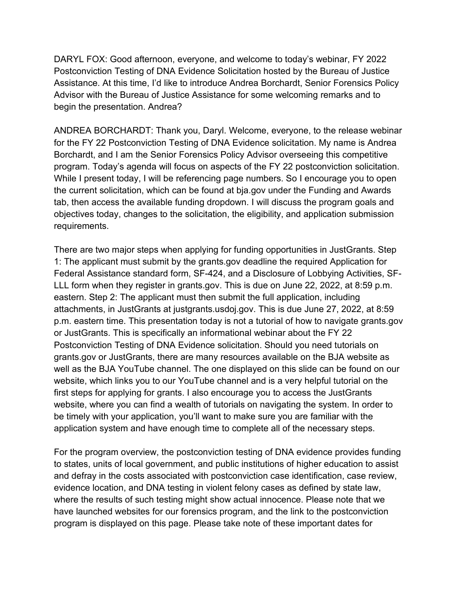DARYL FOX: Good afternoon, everyone, and welcome to today's webinar, FY 2022 Postconviction Testing of DNA Evidence Solicitation hosted by the Bureau of Justice Assistance. At this time, I'd like to introduce Andrea Borchardt, Senior Forensics Policy Advisor with the Bureau of Justice Assistance for some welcoming remarks and to begin the presentation. Andrea?

ANDREA BORCHARDT: Thank you, Daryl. Welcome, everyone, to the release webinar for the FY 22 Postconviction Testing of DNA Evidence solicitation. My name is Andrea Borchardt, and I am the Senior Forensics Policy Advisor overseeing this competitive program. Today's agenda will focus on aspects of the FY 22 postconviction solicitation. While I present today, I will be referencing page numbers. So I encourage you to open the current solicitation, which can be found at bja.gov under the Funding and Awards tab, then access the available funding dropdown. I will discuss the program goals and objectives today, changes to the solicitation, the eligibility, and application submission requirements.

There are two major steps when applying for funding opportunities in JustGrants. Step 1: The applicant must submit by the grants.gov deadline the required Application for Federal Assistance standard form, SF-424, and a Disclosure of Lobbying Activities, SF-LLL form when they register in grants.gov. This is due on June 22, 2022, at 8:59 p.m. eastern. Step 2: The applicant must then submit the full application, including attachments, in JustGrants at justgrants.usdoj.gov. This is due June 27, 2022, at 8:59 p.m. eastern time. This presentation today is not a tutorial of how to navigate grants.gov or JustGrants. This is specifically an informational webinar about the FY 22 Postconviction Testing of DNA Evidence solicitation. Should you need tutorials on grants.gov or JustGrants, there are many resources available on the BJA website as well as the BJA YouTube channel. The one displayed on this slide can be found on our website, which links you to our YouTube channel and is a very helpful tutorial on the first steps for applying for grants. I also encourage you to access the JustGrants website, where you can find a wealth of tutorials on navigating the system. In order to be timely with your application, you'll want to make sure you are familiar with the application system and have enough time to complete all of the necessary steps.

For the program overview, the postconviction testing of DNA evidence provides funding to states, units of local government, and public institutions of higher education to assist and defray in the costs associated with postconviction case identification, case review, evidence location, and DNA testing in violent felony cases as defined by state law, where the results of such testing might show actual innocence. Please note that we have launched websites for our forensics program, and the link to the postconviction program is displayed on this page. Please take note of these important dates for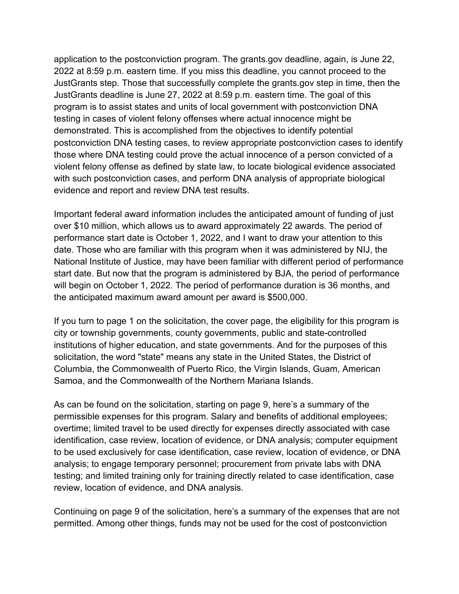application to the postconviction program. The grants.gov deadline, again, is June 22, 2022 at 8:59 p.m. eastern time. If you miss this deadline, you cannot proceed to the JustGrants step. Those that successfully complete the grants.gov step in time, then the JustGrants deadline is June 27, 2022 at 8:59 p.m. eastern time. The goal of this program is to assist states and units of local government with postconviction DNA testing in cases of violent felony offenses where actual innocence might be demonstrated. This is accomplished from the objectives to identify potential postconviction DNA testing cases, to review appropriate postconviction cases to identify those where DNA testing could prove the actual innocence of a person convicted of a violent felony offense as defined by state law, to locate biological evidence associated with such postconviction cases, and perform DNA analysis of appropriate biological evidence and report and review DNA test results.

Important federal award information includes the anticipated amount of funding of just over \$10 million, which allows us to award approximately 22 awards. The period of performance start date is October 1, 2022, and I want to draw your attention to this date. Those who are familiar with this program when it was administered by NIJ, the National Institute of Justice, may have been familiar with different period of performance start date. But now that the program is administered by BJA, the period of performance will begin on October 1, 2022. The period of performance duration is 36 months, and the anticipated maximum award amount per award is \$500,000.

If you turn to page 1 on the solicitation, the cover page, the eligibility for this program is city or township governments, county governments, public and state-controlled institutions of higher education, and state governments. And for the purposes of this solicitation, the word "state" means any state in the United States, the District of Columbia, the Commonwealth of Puerto Rico, the Virgin Islands, Guam, American Samoa, and the Commonwealth of the Northern Mariana Islands.

As can be found on the solicitation, starting on page 9, here's a summary of the permissible expenses for this program. Salary and benefits of additional employees; overtime; limited travel to be used directly for expenses directly associated with case identification, case review, location of evidence, or DNA analysis; computer equipment to be used exclusively for case identification, case review, location of evidence, or DNA analysis; to engage temporary personnel; procurement from private labs with DNA testing; and limited training only for training directly related to case identification, case review, location of evidence, and DNA analysis.

Continuing on page 9 of the solicitation, here's a summary of the expenses that are not permitted. Among other things, funds may not be used for the cost of postconviction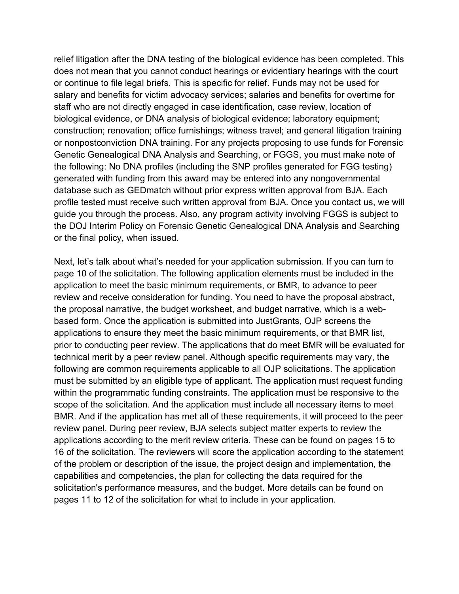relief litigation after the DNA testing of the biological evidence has been completed. This does not mean that you cannot conduct hearings or evidentiary hearings with the court or continue to file legal briefs. This is specific for relief. Funds may not be used for salary and benefits for victim advocacy services; salaries and benefits for overtime for staff who are not directly engaged in case identification, case review, location of biological evidence, or DNA analysis of biological evidence; laboratory equipment; construction; renovation; office furnishings; witness travel; and general litigation training or nonpostconviction DNA training. For any projects proposing to use funds for Forensic Genetic Genealogical DNA Analysis and Searching, or FGGS, you must make note of the following: No DNA profiles (including the SNP profiles generated for FGG testing) generated with funding from this award may be entered into any nongovernmental database such as GEDmatch without prior express written approval from BJA. Each profile tested must receive such written approval from BJA. Once you contact us, we will guide you through the process. Also, any program activity involving FGGS is subject to the DOJ Interim Policy on Forensic Genetic Genealogical DNA Analysis and Searching or the final policy, when issued.

Next, let's talk about what's needed for your application submission. If you can turn to page 10 of the solicitation. The following application elements must be included in the application to meet the basic minimum requirements, or BMR, to advance to peer review and receive consideration for funding. You need to have the proposal abstract, the proposal narrative, the budget worksheet, and budget narrative, which is a webbased form. Once the application is submitted into JustGrants, OJP screens the applications to ensure they meet the basic minimum requirements, or that BMR list, prior to conducting peer review. The applications that do meet BMR will be evaluated for technical merit by a peer review panel. Although specific requirements may vary, the following are common requirements applicable to all OJP solicitations. The application must be submitted by an eligible type of applicant. The application must request funding within the programmatic funding constraints. The application must be responsive to the scope of the solicitation. And the application must include all necessary items to meet BMR. And if the application has met all of these requirements, it will proceed to the peer review panel. During peer review, BJA selects subject matter experts to review the applications according to the merit review criteria. These can be found on pages 15 to 16 of the solicitation. The reviewers will score the application according to the statement of the problem or description of the issue, the project design and implementation, the capabilities and competencies, the plan for collecting the data required for the solicitation's performance measures, and the budget. More details can be found on pages 11 to 12 of the solicitation for what to include in your application.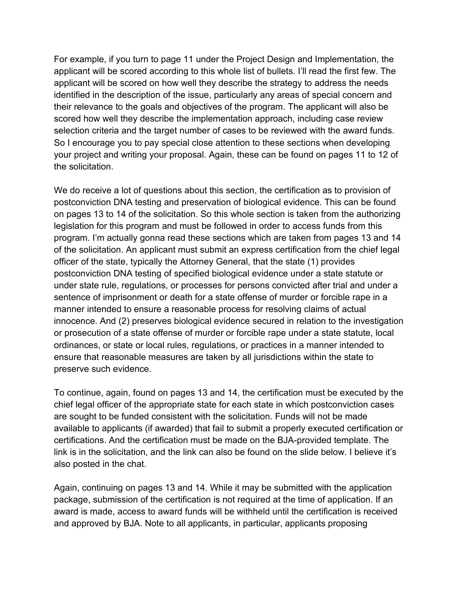For example, if you turn to page 11 under the Project Design and Implementation, the applicant will be scored according to this whole list of bullets. I'll read the first few. The applicant will be scored on how well they describe the strategy to address the needs identified in the description of the issue, particularly any areas of special concern and their relevance to the goals and objectives of the program. The applicant will also be scored how well they describe the implementation approach, including case review selection criteria and the target number of cases to be reviewed with the award funds. So I encourage you to pay special close attention to these sections when developing your project and writing your proposal. Again, these can be found on pages 11 to 12 of the solicitation

We do receive a lot of questions about this section, the certification as to provision of postconviction DNA testing and preservation of biological evidence. This can be found on pages 13 to 14 of the solicitation. So this whole section is taken from the authorizing legislation for this program and must be followed in order to access funds from this program. I'm actually gonna read these sections which are taken from pages 13 and 14 of the solicitation. An applicant must submit an express certification from the chief legal officer of the state, typically the Attorney General, that the state (1) provides postconviction DNA testing of specified biological evidence under a state statute or under state rule, regulations, or processes for persons convicted after trial and under a sentence of imprisonment or death for a state offense of murder or forcible rape in a manner intended to ensure a reasonable process for resolving claims of actual innocence. And (2) preserves biological evidence secured in relation to the investigation or prosecution of a state offense of murder or forcible rape under a state statute, local ordinances, or state or local rules, regulations, or practices in a manner intended to ensure that reasonable measures are taken by all jurisdictions within the state to preserve such evidence.

To continue, again, found on pages 13 and 14, the certification must be executed by the chief legal officer of the appropriate state for each state in which postconviction cases are sought to be funded consistent with the solicitation. Funds will not be made available to applicants (if awarded) that fail to submit a properly executed certification or certifications. And the certification must be made on the BJA-provided template. The link is in the solicitation, and the link can also be found on the slide below. I believe it's also posted in the chat.

Again, continuing on pages 13 and 14. While it may be submitted with the application package, submission of the certification is not required at the time of application. If an award is made, access to award funds will be withheld until the certification is received and approved by BJA. Note to all applicants, in particular, applicants proposing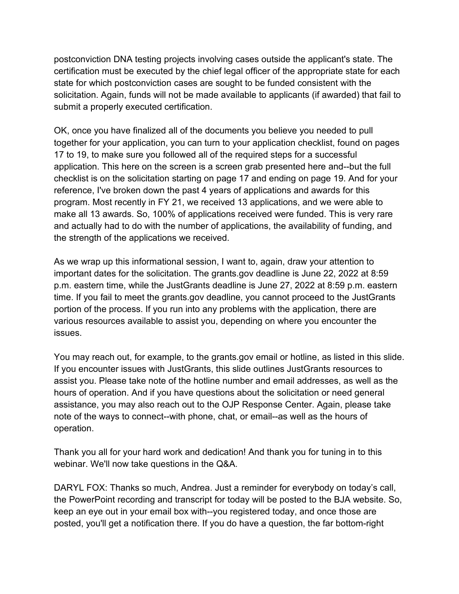postconviction DNA testing projects involving cases outside the applicant's state. The certification must be executed by the chief legal officer of the appropriate state for each state for which postconviction cases are sought to be funded consistent with the solicitation. Again, funds will not be made available to applicants (if awarded) that fail to submit a properly executed certification.

OK, once you have finalized all of the documents you believe you needed to pull together for your application, you can turn to your application checklist, found on pages 17 to 19, to make sure you followed all of the required steps for a successful application. This here on the screen is a screen grab presented here and--but the full checklist is on the solicitation starting on page 17 and ending on page 19. And for your reference, I've broken down the past 4 years of applications and awards for this program. Most recently in FY 21, we received 13 applications, and we were able to make all 13 awards. So, 100% of applications received were funded. This is very rare and actually had to do with the number of applications, the availability of funding, and the strength of the applications we received.

As we wrap up this informational session, I want to, again, draw your attention to important dates for the solicitation. The grants.gov deadline is June 22, 2022 at 8:59 p.m. eastern time, while the JustGrants deadline is June 27, 2022 at 8:59 p.m. eastern time. If you fail to meet the grants.gov deadline, you cannot proceed to the JustGrants portion of the process. If you run into any problems with the application, there are various resources available to assist you, depending on where you encounter the issues.

You may reach out, for example, to the grants.gov email or hotline, as listed in this slide. If you encounter issues with JustGrants, this slide outlines JustGrants resources to assist you. Please take note of the hotline number and email addresses, as well as the hours of operation. And if you have questions about the solicitation or need general assistance, you may also reach out to the OJP Response Center. Again, please take note of the ways to connect--with phone, chat, or email--as well as the hours of operation.

Thank you all for your hard work and dedication! And thank you for tuning in to this webinar. We'll now take questions in the Q&A.

DARYL FOX: Thanks so much, Andrea. Just a reminder for everybody on today's call, the PowerPoint recording and transcript for today will be posted to the BJA website. So, keep an eye out in your email box with--you registered today, and once those are posted, you'll get a notification there. If you do have a question, the far bottom-right